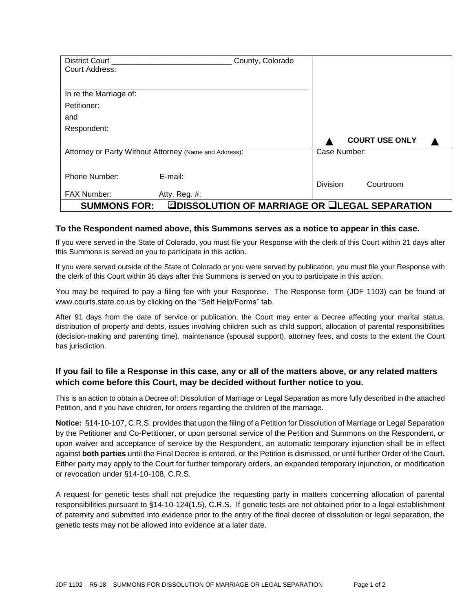| <b>District Court</b>                                                |               | County, Colorado |                 |  |                       |
|----------------------------------------------------------------------|---------------|------------------|-----------------|--|-----------------------|
| Court Address:                                                       |               |                  |                 |  |                       |
|                                                                      |               |                  |                 |  |                       |
| In re the Marriage of:                                               |               |                  |                 |  |                       |
| Petitioner:                                                          |               |                  |                 |  |                       |
| and                                                                  |               |                  |                 |  |                       |
| Respondent:                                                          |               |                  |                 |  |                       |
|                                                                      |               |                  |                 |  | <b>COURT USE ONLY</b> |
| Attorney or Party Without Attorney (Name and Address):               |               |                  | Case Number:    |  |                       |
|                                                                      |               |                  |                 |  |                       |
| Phone Number:                                                        | E-mail:       |                  |                 |  |                       |
|                                                                      |               |                  | <b>Division</b> |  | Courtroom             |
| <b>FAX Number:</b>                                                   | Atty. Reg. #: |                  |                 |  |                       |
| ☑DISSOLUTION OF MARRIAGE OR ❑LEGAL SEPARATION<br><b>SUMMONS FOR:</b> |               |                  |                 |  |                       |

## **To the Respondent named above, this Summons serves as a notice to appear in this case.**

If you were served in the State of Colorado, you must file your Response with the clerk of this Court within 21 days after this Summons is served on you to participate in this action.

If you were served outside of the State of Colorado or you were served by publication, you must file your Response with the clerk of this Court within 35 days after this Summons is served on you to participate in this action.

You may be required to pay a filing fee with your Response. The Response form (JDF 1103) can be found at www.courts.state.co.us by clicking on the "Self Help/Forms" tab.

After 91 days from the date of service or publication, the Court may enter a Decree affecting your marital status, distribution of property and debts, issues involving children such as child support, allocation of parental responsibilities (decision-making and parenting time), maintenance (spousal support), attorney fees, and costs to the extent the Court has jurisdiction.

## **If you fail to file a Response in this case, any or all of the matters above, or any related matters which come before this Court, may be decided without further notice to you.**

This is an action to obtain a Decree of: Dissolution of Marriage or Legal Separation as more fully described in the attached Petition, and if you have children, for orders regarding the children of the marriage.

**Notice:** §14-10-107, C.R.S. provides that upon the filing of a Petition for Dissolution of Marriage or Legal Separation by the Petitioner and Co-Petitioner, or upon personal service of the Petition and Summons on the Respondent, or upon waiver and acceptance of service by the Respondent, an automatic temporary injunction shall be in effect against **both parties** until the Final Decree is entered, or the Petition is dismissed, or until further Order of the Court. Either party may apply to the Court for further temporary orders, an expanded temporary injunction, or modification or revocation under §14-10-108, C.R.S.

A request for genetic tests shall not prejudice the requesting party in matters concerning allocation of parental responsibilities pursuant to §14-10-124(1.5), C.R.S. If genetic tests are not obtained prior to a legal establishment of paternity and submitted into evidence prior to the entry of the final decree of dissolution or legal separation, the genetic tests may not be allowed into evidence at a later date.